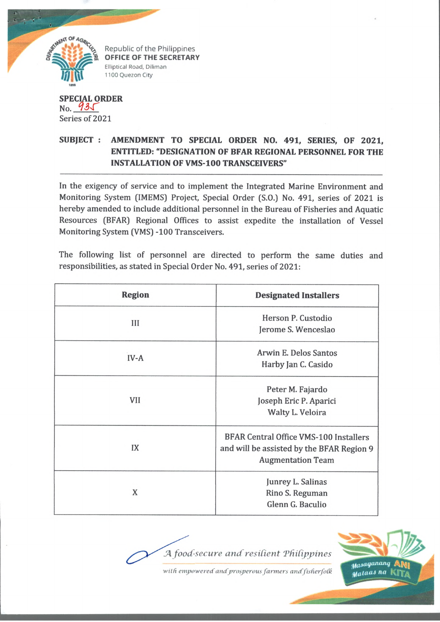

Republic of the Philippines OFFICE OF THE SECRETARY Elliptical Road, Diliman 1100 Quezon City

## **SPECIAL ORDER**  $No. 93J$ Series of 2021

## **SUBJECT : AMENDMENT TO SPECIAL ORDER NO. 491, SERIES, OF 2021, ENTITLED: "DESIGNATION OF BFAR REGIONAL PERSONNEL FOR THE INSTALLATION OF VMS-100 TRANSCEIVERS"**

In the exigency of service and to implement the Integrated Marine Environment and Monitoring System (IMEMS) Project, Special Order (S.O.) No. 491, series of 2021 is hereby amended to include additional personnel in the Bureau of Fisheries and Aquatic Resources (BFAR) Regional Offices to assist expedite the installation of Vessel Monitoring System (VMS) -100 Transceivers.

The following list of personnel are directed to perform the same duties and responsibilities, as stated in Special Order No. 491, series of 2021:

| <b>Region</b> | <b>Designated Installers</b>                                                                                           |
|---------------|------------------------------------------------------------------------------------------------------------------------|
| III           | Herson P. Custodio<br>Jerome S. Wenceslao                                                                              |
| $IV-A$        | Arwin E. Delos Santos<br>Harby Jan C. Casido                                                                           |
| <b>VII</b>    | Peter M. Fajardo<br>Joseph Eric P. Aparici<br>Walty L. Veloira                                                         |
| IX            | <b>BFAR Central Office VMS-100 Installers</b><br>and will be assisted by the BFAR Region 9<br><b>Augmentation Team</b> |
| X             | Junrey L. Salinas<br>Rino S. Reguman<br>Glenn G. Baculio                                                               |

*secure and'resident TfUdppines*

Masaganang AN Mataas na K

*with empowered and'prosperous farm ers andfisherfoCh*